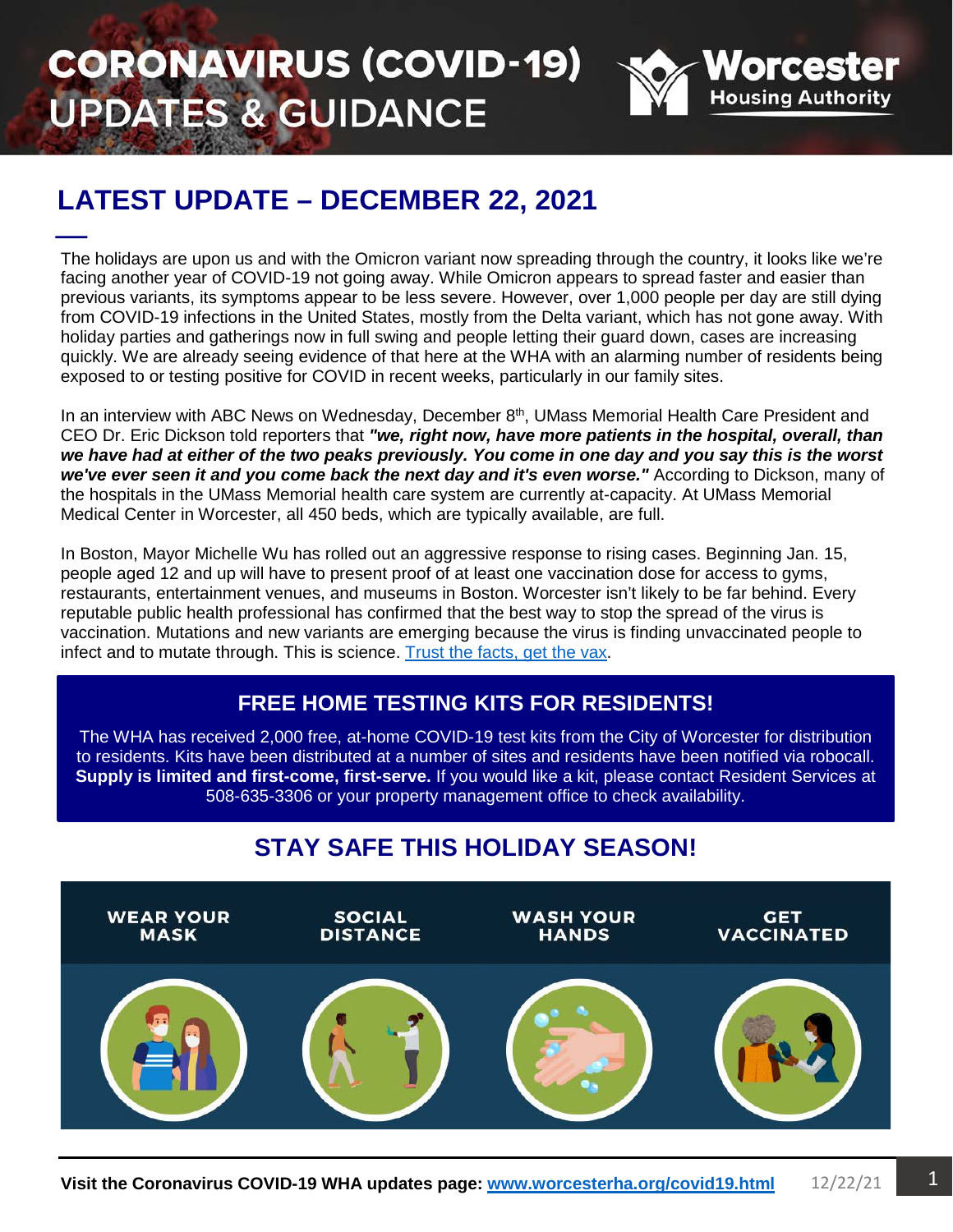# **CORONAVIRUS (COVID-19) UPDATES & GUIDANCE**



# **LATEST UPDATE - DECEMBER 22, 2021**

÷, The holidays are upon us and with the Omicron variant now spreading through the country, it looks like we're facing another year of COVID-19 not going away. While Omicron appears to spread faster and easier than previous variants, its symptoms appear to be less severe. However, over 1,000 people per day are still dying from COVID-19 infections in the United States, mostly from the Delta variant, which has not gone away. With holiday parties and gatherings now in full swing and people letting their guard down, cases are increasing quickly. We are already seeing evidence of that here at the WHA with an alarming number of residents being exposed to or testing positive for COVID in recent weeks, particularly in our family sites.

In an interview with ABC News on Wednesday, December 8<sup>th</sup>, UMass Memorial Health Care President and CEO Dr. Eric Dickson told reporters that *"we, right now, have more patients in the hospital, overall, than we have had at either of the two peaks previously. You come in one day and you say this is the worst we've ever seen it and you come back the next day and it's even worse."* According to Dickson, many of the hospitals in the UMass Memorial health care system are currently at-capacity. At UMass Memorial Medical Center in Worcester, all 450 beds, which are typically available, are full.

In Boston, Mayor Michelle Wu has rolled out an aggressive response to rising cases. Beginning Jan. 15, people aged 12 and up will have to present proof of at least one vaccination dose for access to gyms, restaurants, entertainment venues, and museums in Boston. Worcester isn't likely to be far behind. Every reputable public health professional has confirmed that the best way to stop the spread of the virus is vaccination. Mutations and new variants are emerging because the virus is finding unvaccinated people to infect and to mutate through. This is science. [Trust the facts, get the vax.](http://www.worcesterma.gov/coronavirus/vaccination)

#### **FREE HOME TESTING KITS FOR RESIDENTS!**

The WHA has received 2,000 free, at-home COVID-19 test kits from the City of Worcester for distribution to residents. Kits have been distributed at a number of sites and residents have been notified via robocall. **Supply is limited and first-come, first-serve.** If you would like a kit, please contact Resident Services at 508-635-3306 or your property management office to check availability.

### **STAY SAFE THIS HOLIDAY SEASON!**